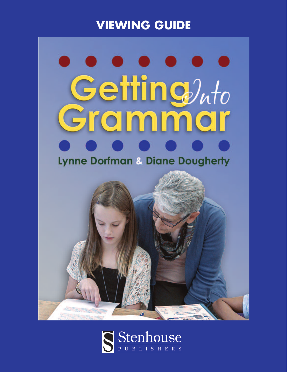# **VIEWING GUIDE**

# Getting)<sub>uto</sub> Grammar **Lynne Dorfman & Diane Dougherty**



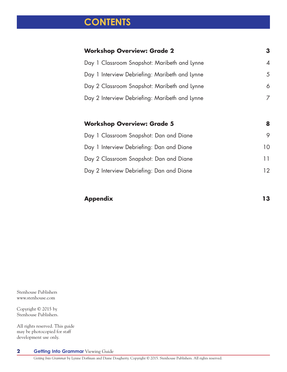# **CONTENTS**

| <b>Workshop Overview: Grade 2</b>              | З        |
|------------------------------------------------|----------|
| Day 1 Classroom Snapshot: Maribeth and Lynne   | $\Delta$ |
| Day 1 Interview Debriefing: Maribeth and Lynne | 5        |
| Day 2 Classroom Snapshot: Maribeth and Lynne   | 6        |
| Day 2 Interview Debriefing: Maribeth and Lynne |          |
|                                                |          |
|                                                |          |
| <b>Workshop Overview: Grade 5</b>              | 8        |
| Day 1 Classroom Snapshot: Dan and Diane        | 9        |
| Day 1 Interview Debriefing: Dan and Diane      | 10       |
| Day 2 Classroom Snapshot: Dan and Diane        | 11       |
| Day 2 Interview Debriefing: Dan and Diane      | 12       |

#### **Appendix 13**

Stenhouse Publishers www.stenhouse.com

Copyright © 2015 by Stenhouse Publishers.

All rights reserved. This guide may be photocopied for staff development use only.

**Getting Into Grammar** Viewing Guide **2**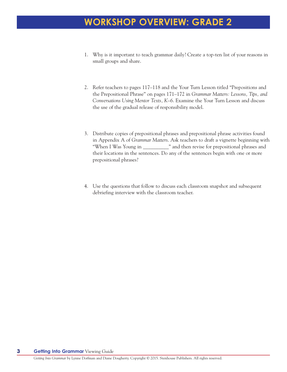## **WORKSHOP OVERVIEW: GRADE 2**

- 1. Why is it important to teach grammar daily? Create a top-ten list of your reasons in small groups and share.
- 2. Refer teachers to pages 117–118 and the Your Turn Lesson titled "Prepositions and the Prepositional Phrase" on pages 171–172 in *Grammar Matters: Lessons, Tips, and Conversations Using Mentor Texts, K–6*. Examine the Your Turn Lesson and discuss the use of the gradual release of responsibility model.
- 3. Distribute copies of prepositional phrases and prepositional phrase activities found in Appendix A of *Grammar Matters*. Ask teachers to draft a vignette beginning with "When I Was Young in \_\_\_\_\_\_\_\_\_\_" and then revise for prepositional phrases and their locations in the sentences. Do any of the sentences begin with one or more prepositional phrases?
- 4. Use the questions that follow to discuss each classroom snapshot and subsequent debriefing interview with the classroom teacher.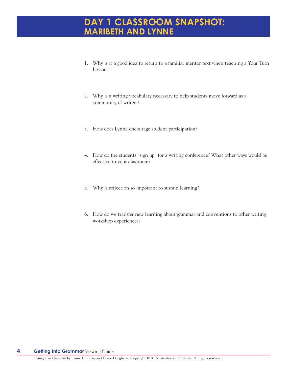#### **DAY 1 CLASSROOM SNAPSHOT: MARIBETH AND LYNNE**

- 1. Why is it a good idea to return to a familiar mentor text when teaching a Your Turn Lesson?
- 2. Why is a writing vocabulary necessary to help students move forward as a community of writers?
- 3. How does Lynne encourage student participation?
- 4. How do the students "sign up" for a writing conference? What other ways would be effective in your classroom?
- 5. Why is reflection so important to sustain learning?
- 6. How do we transfer new learning about grammar and conventions to other writing workshop experiences?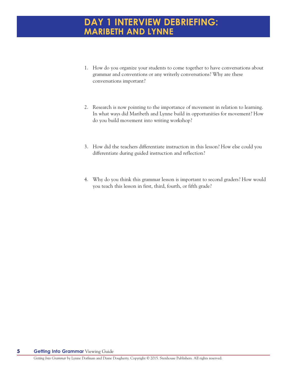#### **DAY 1 INTERVIEW DEBRIEFING: MARIBETH AND LYNNE**

- 1. How do you organize your students to come together to have conversations about grammar and conventions or any writerly conversations? Why are these conversations important?
- 2. Research is now pointing to the importance of movement in relation to learning. In what ways did Maribeth and Lynne build in opportunities for movement? How do you build movement into writing workshop?
- 3. How did the teachers differentiate instruction in this lesson? How else could you differentiate during guided instruction and reflection?
- 4. Why do you think this grammar lesson is important to second graders? How would you teach this lesson in first, third, fourth, or fifth grade?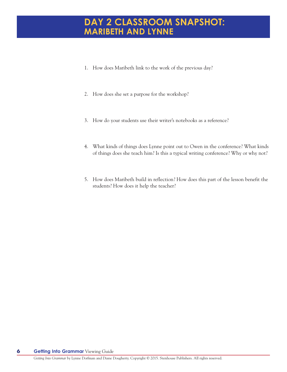#### **DAY 2 CLASSROOM SNAPSHOT: MARIBETH AND LYNNE**

- 1. How does Maribeth link to the work of the previous day?
- 2. How does she set a purpose for the workshop?
- 3. How do your students use their writer's notebooks as a reference?
- 4. What kinds of things does Lynne point out to Owen in the conference? What kinds of things does she teach him? Is this a typical writing conference? Why or why not?
- 5. How does Maribeth build in reflection? How does this part of the lesson benefit the students? How does it help the teacher?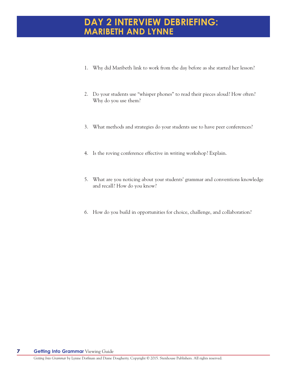#### **DAY 2 INTERVIEW DEBRIEFING: MARIBETH AND LYNNE**

- 1. Why did Maribeth link to work from the day before as she started her lesson?
- 2. Do your students use "whisper phones" to read their pieces aloud? How often? Why do you use them?
- 3. What methods and strategies do your students use to have peer conferences?
- 4. Is the roving conference effective in writing workshop? Explain.
- 5. What are you noticing about your students' grammar and conventions knowledge and recall? How do you know?
- 6. How do you build in opportunities for choice, challenge, and collaboration?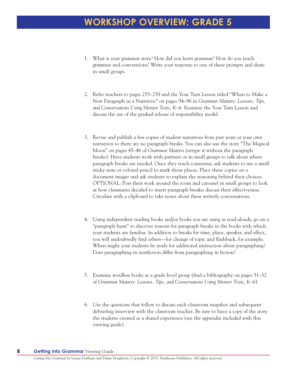## **WORKSHOP OVERVIEW: GRADE 5**

- 1. What is your grammar story? How did you learn grammar? How do you teach grammar and conventions? Write your response to one of these prompts and share in small groups.
- 2. Refer teachers to pages 255–258 and the Your Turn Lesson titled "When to Make a New Paragraph in a Narrative" on pages 94–96 in *Grammar Matters: Lessons, Tips, and Conversations Using Mentor Texts, K–6*. Examine the Your Turn Lesson and discuss the use of the gradual release of responsibility model.
- 3. Revise and publish a few copies of student narratives from past years or your own narratives so there are no paragraph breaks. You can also use the story "The Magical Moon" on pages 45–46 of *Grammar Matters* (retype it without the paragraph breaks). Have students work with partners or in small groups to talk about where paragraph breaks are needed. Once they reach consensus, ask students to use a small sticky note or colored pencil to mark those places. Place these copies on a document imager and ask students to explain the reasoning behind their choices. OPTIONAL: Post their work around the room and carousel in small groups to look at how classmates decided to insert paragraph breaks; discuss their effectiveness. Circulate with a clipboard to take notes about these writerly conversations.
- 4. Using independent reading books and/or books you are using as read-alouds, go on a "paragraph hunt" to discover reasons for paragraph breaks in the books with which your students are familiar. In addition to breaks for time, place, speaker, and effect, you will undoubtedly find others—for change of topic and flashback, for example. When might your students be ready for additional instruction about paragraphing? Does paragraphing in nonfiction differ from paragraphing in fiction?
- 5. Examine wordless books as a grade-level group (find a bibliography on pages 51–52 of *Grammar Matters: Lessons, Tips, and Conversations Using Mentor Texts, K–6*).
- 6. Use the questions that follow to discuss each classroom snapshot and subsequent debriefing interview with the classroom teacher. Be sure to have a copy of the story the students created as a shared experience (see the appendix included with this viewing guide).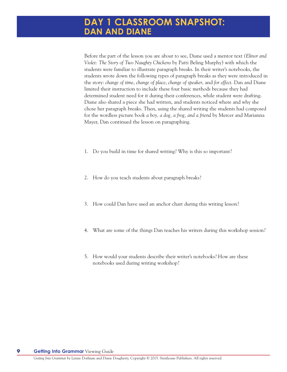Before the part of the lesson you are about to see, Diane used a mentor text *(Elinor and Violet: The Story of Two Naughty Chickens* by Patti Beling Murphy) with which the students were familiar to illustrate paragraph breaks. In their writer's notebooks, the students wrote down the following types of paragraph breaks as they were introduced in the story: *change of time*, *change of place*, *change of speaker*, and *for effect*. Dan and Diane limited their instruction to include these four basic methods because they had determined student need for it during their conferences, while student were drafting. Diane also shared a piece she had written, and students noticed where and why she chose her paragraph breaks. Then, using the shared writing the students had composed for the wordless picture book *a boy, a dog, a frog, and a friend* by Mercer and Marianna Mayer, Dan continued the lesson on paragraphing.

- 1. Do you build in time for shared writing? Why is this so important?
- 2. How do you teach students about paragraph breaks?
- 3. How could Dan have used an anchor chart during this writing lesson?
- 4. What are some of the things Dan teaches his writers during this workshop session?
- 5. How would your students describe their writer's notebooks? How are these notebooks used during writing workshop?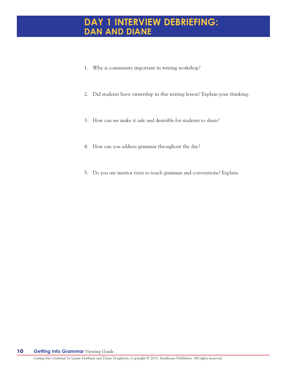#### **DAY 1 INTERVIEW DEBRIEFING: DAN AND DIANE**

- 1. Why is community important in writing workshop?
- 2. Did students have ownership in this writing lesson? Explain your thinking.
- 3. How can we make it safe and desirable for students to share?
- 4. How can you address grammar throughout the day?
- 5. Do you use mentor texts to teach grammar and conventions? Explain.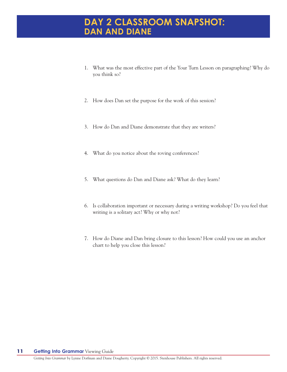#### **DAY 2 CLASSROOM SNAPSHOT: DAN AND DIANE**

- 1. What was the most effective part of the Your Turn Lesson on paragraphing? Why do you think so?
- 2. How does Dan set the purpose for the work of this session?
- 3. How do Dan and Diane demonstrate that they are writers?
- 4. What do you notice about the roving conferences?
- 5. What questions do Dan and Diane ask? What do they learn?
- 6. Is collaboration important or necessary during a writing workshop? Do you feel that writing is a solitary act? Why or why not?
- 7. How do Diane and Dan bring closure to this lesson? How could you use an anchor chart to help you close this lesson?

#### **Getting Into Grammar** Viewing Guide **11**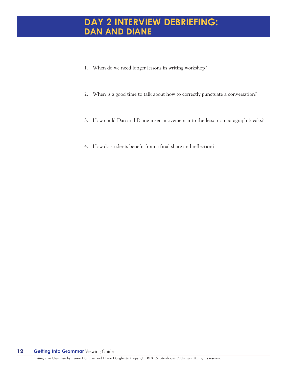#### **DAY 2 INTERVIEW DEBRIEFING: DAN AND DIANE**

- 1. When do we need longer lessons in writing workshop?
- 2. When is a good time to talk about how to correctly punctuate a conversation?
- 3. How could Dan and Diane insert movement into the lesson on paragraph breaks?
- 4. How do students benefit from a final share and reflection?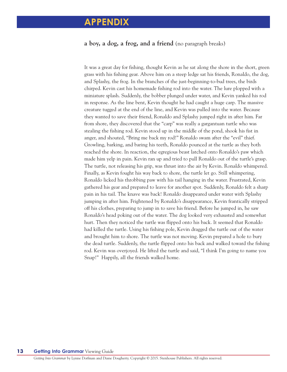#### **APPENDIX**

#### **a boy, a dog, a frog, and a friend** (no paragraph breaks)

It was a great day for fishing, thought Kevin as he sat along the shore in the short, green grass with his fishing gear. Above him on a steep ledge sat his friends, Ronaldo, the dog, and Splashy, the frog. In the branches of the just-beginning-to-bud trees, the birds chirped. Kevin cast his homemade fishing rod into the water. The lure plopped with a miniature splash. Suddenly, the bobber plunged under water, and Kevin yanked his rod in response. As the line bent, Kevin thought he had caught a huge carp. The massive creature tugged at the end of the line, and Kevin was pulled into the water. Because they wanted to save their friend, Ronaldo and Splashy jumped right in after him. Far from shore, they discovered that the "carp" was really a gargantuan turtle who was stealing the fishing rod. Kevin stood up in the middle of the pond, shook his fist in anger, and shouted, "Bring me back my rod!" Ronaldo swam after the "evil" thief. Growling, barking, and baring his teeth, Ronaldo pounced at the turtle as they both reached the shore. In reaction, the egregious beast latched onto Ronaldo's paw which made him yelp in pain. Kevin ran up and tried to pull Ronaldo out of the turtle's grasp. The turtle, not releasing his grip, was thrust into the air by Kevin. Ronaldo whimpered. Finally, as Kevin fought his way back to shore, the turtle let go. Still whimpering, Ronaldo licked his throbbing paw with his tail hanging in the water. Frustrated, Kevin gathered his gear and prepared to leave for another spot. Suddenly, Ronaldo felt a sharp pain in his tail. The knave was back! Ronaldo disappeared under water with Splashy jumping in after him. Frightened by Ronaldo's disappearance, Kevin frantically stripped off his clothes, preparing to jump in to save his friend. Before he jumped in, he saw Ronaldo's head poking out of the water. The dog looked very exhausted and somewhat hurt. Then they noticed the turtle was flipped onto his back. It seemed that Ronaldo had killed the turtle. Using his fishing pole, Kevin dragged the turtle out of the water and brought him to shore. The turtle was not moving. Kevin prepared a hole to bury the dead turtle. Suddenly, the turtle flipped onto his back and walked toward the fishing rod. Kevin was overjoyed. He lifted the turtle and said, "I think I'm going to name you Snap!" Happily, all the friends walked home.